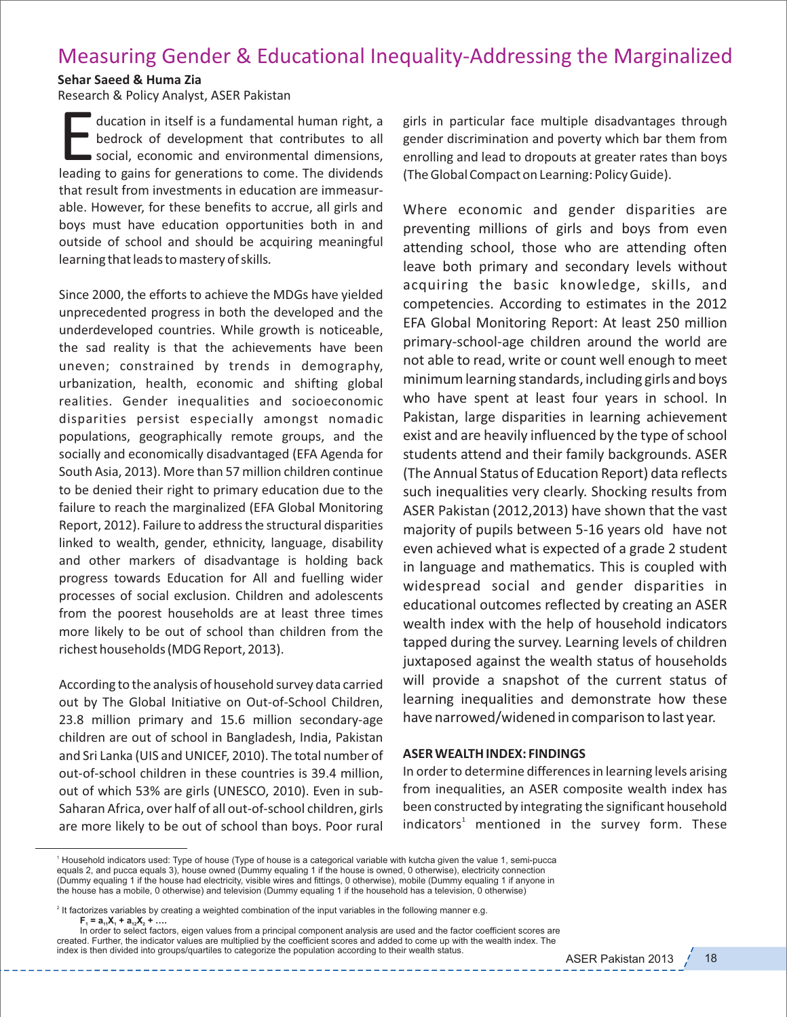## Measuring Gender & Educational Inequality‐Addressing the Marginalized

## **Sehar Saeed & Huma Zia**

Research & Policy Analyst, ASER Pakistan

ducation in itself is a fundamental human right, a bedrock of development that contributes to all social, economic and environmental dimensions, leading to gains for generations to come. The dividends social, economic and environmental dimensions, that result from investments in education are immeasur‐ able. However, for these benefits to accrue, all girls and boys must have education opportunities both in and outside of school and should be acquiring meaningful learning that leads to mastery of skills*.*

Since 2000, the efforts to achieve the MDGs have yielded unprecedented progress in both the developed and the underdeveloped countries. While growth is noticeable, the sad reality is that the achievements have been uneven; constrained by trends in demography, urbanization, health, economic and shifting global realities. Gender inequalities and socioeconomic disparities persist especially amongst nomadic populations, geographically remote groups, and the socially and economically disadvantaged (EFA Agenda for South Asia, 2013). More than 57 million children continue to be denied their right to primary education due to the failure to reach the marginalized (EFA Global Monitoring Report, 2012). Failure to address the structural disparities linked to wealth, gender, ethnicity, language, disability and other markers of disadvantage is holding back progress towards Education for All and fuelling wider processes of social exclusion. Children and adolescents from the poorest households are at least three times more likely to be out of school than children from the richest households (MDG Report, 2013).

According to the analysis of household survey data carried out by The Global Initiative on Out‐of‐School Children, 23.8 million primary and 15.6 million secondary‐age children are out of school in Bangladesh, India, Pakistan and Sri Lanka (UIS and UNICEF, 2010). The total number of out‐of‐school children in these countries is 39.4 million, out of which 53% are girls (UNESCO, 2010). Even in sub‐ Saharan Africa, over half of all out‐of‐school children, girls are more likely to be out of school than boys. Poor rural

girls in particular face multiple disadvantages through gender discrimination and poverty which bar them from enrolling and lead to dropouts at greater rates than boys (The Global Compact on Learning: Policy Guide).

Where economic and gender disparities are preventing millions of girls and boys from even attending school, those who are attending often leave both primary and secondary levels without acquiring the basic knowledge, skills, and competencies. According to estimates in the 2012 EFA Global Monitoring Report: At least 250 million primary‐school‐age children around the world are not able to read, write or count well enough to meet minimum learning standards, including girls and boys who have spent at least four years in school. In Pakistan, large disparities in learning achievement exist and are heavily influenced by the type of school students attend and their family backgrounds. ASER (The Annual Status of Education Report) data reflects such inequalities very clearly. Shocking results from ASER Pakistan (2012,2013) have shown that the vast majority of pupils between 5‐16 years old have not even achieved what is expected of a grade 2 student in language and mathematics. This is coupled with widespread social and gender disparities in educational outcomes reflected by creating an ASER wealth index with the help of household indicators tapped during the survey. Learning levels of children juxtaposed against the wealth status of households will provide a snapshot of the current status of learning inequalities and demonstrate how these have narrowed/widened in comparison to last year.

## **ASER WEALTH INDEX: FINDINGS**

In order to determine differences in learning levels arising from inequalities, an ASER composite wealth index has been constructed by integrating the significant household indicators $^1$  mentioned in the survey form. These

<sup>1</sup> Household indicators used: Type of house (Type of house is a categorical variable with kutcha given the value 1, semi-pucca equals 2, and pucca equals 3), house owned (Dummy equaling 1 if the house is owned, 0 otherwise), electricity connection (Dummy equaling 1 if the house had electricity, visible wires and fittings, 0 otherwise), mobile (Dummy equaling 1 if anyone in the house has a mobile, 0 otherwise) and television (Dummy equaling 1 if the household has a television, 0 otherwise)

<sup>&</sup>lt;sup>2</sup> It factorizes variables by creating a weighted combination of the input variables in the following manner e.g.  $F_1 = a_{11}X_1 + a_{12}X_2 + \dots$ 

In order to select factors, eigen values from a principal component analysis are used and the factor coefficient scores are created. Further, the indicator values are multiplied by the coefficient scores and added to come up with the wealth index. The index is then divided into groups/quartiles to categorize the population according to their wealth status.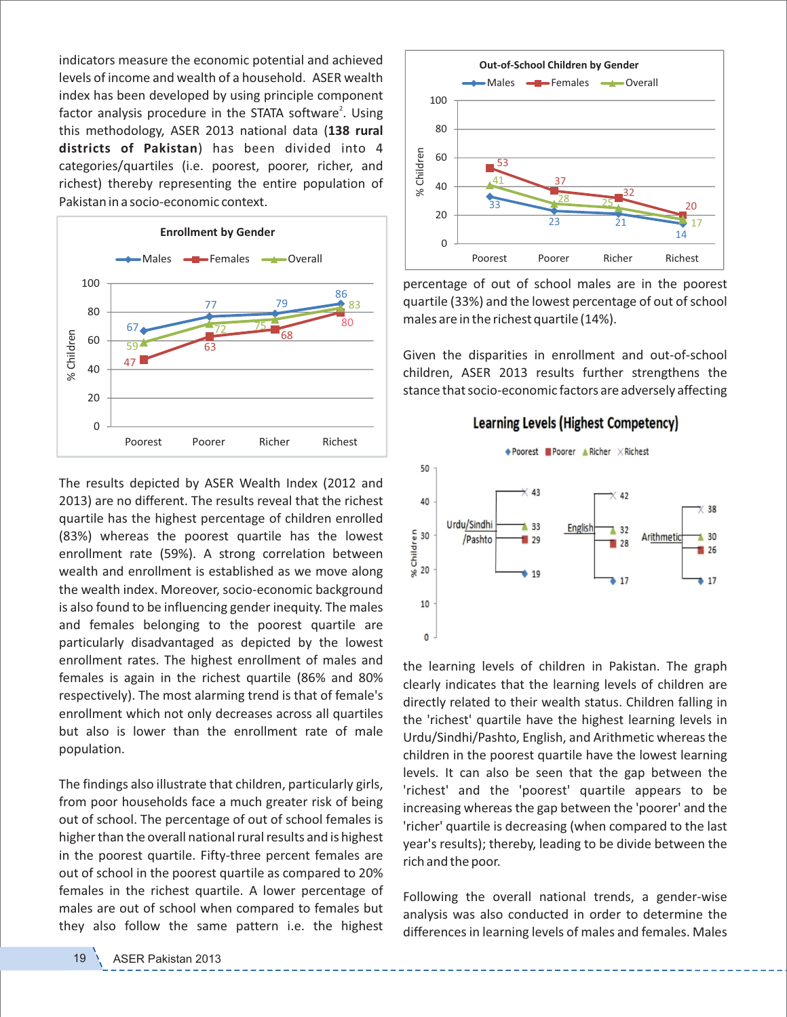indicators measure the economic potential and achieved levels of income and wealth of a household. ASER wealth index has been developed by using principle component factor analysis procedure in the STATA software<sup>2</sup>. Using this methodology, ASER 2013 national data (**138 rural districts of Pakistan**) has been divided into 4 categories/quartiles (i.e. poorest, poorer, richer, and richest) thereby representing the entire population of Pakistan in a socio‐economic context.



The results depicted by ASER Wealth Index (2012 and 2013) are no different. The results reveal that the richest quartile has the highest percentage of children enrolled (83%) whereas the poorest quartile has the lowest enrollment rate (59%). A strong correlation between wealth and enrollment is established as we move along the wealth index. Moreover, socio‐economic background is also found to be influencing gender inequity. The males and females belonging to the poorest quartile are particularly disadvantaged as depicted by the lowest enrollment rates. The highest enrollment of males and females is again in the richest quartile (86% and 80% respectively). The most alarming trend is that of female's enrollment which not only decreases across all quartiles but also is lower than the enrollment rate of male population.

The findings also illustrate that children, particularly girls, from poor households face a much greater risk of being out of school. The percentage of out of school females is higher than the overall national rural results and is highest in the poorest quartile. Fifty-three percent females are out of school in the poorest quartile as compared to 20% females in the richest quartile. A lower percentage of males are out of school when compared to females but they also follow the same pattern i.e. the highest



percentage of out of school males are in the poorest quartile (33%) and the lowest percentage of out of school males are in the richest quartile (14%).

Given the disparities in enrollment and out‐of‐school children, ASER 2013 results further strengthens the stance that socio‐economic factors are adversely affecting





the learning levels of children in Pakistan. The graph clearly indicates that the learning levels of children are directly related to their wealth status. Children falling in the 'richest' quartile have the highest learning levels in Urdu/Sindhi/Pashto, English, and Arithmetic whereas the children in the poorest quartile have the lowest learning levels. It can also be seen that the gap between the 'richest' and the 'poorest' quartile appears to be increasing whereas the gap between the 'poorer' and the 'richer' quartile is decreasing (when compared to the last year's results); thereby, leading to be divide between the rich and the poor.

Following the overall national trends, a gender-wise analysis was also conducted in order to determine the differences in learning levels of males and females. Males